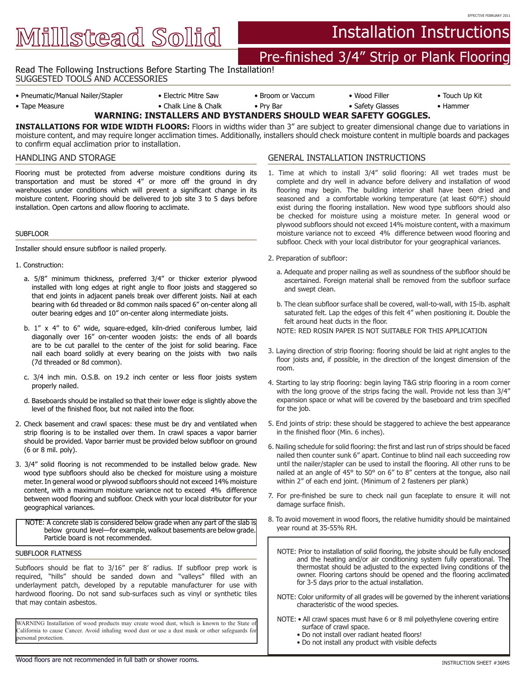Millstead Solid

# Installation Instructions

## Pre-finished 3/4" Strip or Plank Flooring

Read The Following Instructions Before Starting The Installation!

SUGGESTED TOOLS AND ACCESSORIES

• Pneumatic/Manual Nailer/Stapler • Electric Mitre Saw • Broom or Vaccum • Wood Filler • Touch Up Kit

EFFECTIVE FEBRUARY 2011

• Tape Measure • Chalk Line & Chalk • • Pry Bar • • Safety Glasses • Hammer **WARNING: INSTALLERS AND BYSTANDERS SHOULD WEAR SAFETY GOGGLES.** 

**INSTALLATIONS FOR WIDE WIDTH FLOORS:** Floors in widths wider than 3" are subject to greater dimensional change due to variations in moisture content, and may require longer acclimation times. Additionally, installers should check moisture content in multiple boards and packages to confirm equal acclimation prior to installation.

## HANDLING AND STORAGE

Flooring must be protected from adverse moisture conditions during its transportation and must be stored 4" or more off the ground in dry warehouses under conditions which will prevent a significant change in its moisture content. Flooring should be delivered to job site 3 to 5 days before installation. Open cartons and allow flooring to acclimate.

### SUBFLOOR

Installer should ensure subfloor is nailed properly.

- 1. Construction:
	- a. 5/8" minimum thickness, preferred 3/4" or thicker exterior plywood installed with long edges at right angle to floor joists and staggered so that end joints in adjacent panels break over different joists. Nail at each bearing with 6d threaded or 8d common nails spaced 6" on-center along all outer bearing edges and 10" on-center along intermediate joists.
	- b. 1" x 4" to 6" wide, square-edged, kiln-dried coniferous lumber, laid diagonally over 16" on-center wooden joists: the ends of all boards are to be cut parallel to the center of the joist for solid bearing. Face nail each board solidly at every bearing on the joists with two nails (7d threaded or 8d common).
	- c. 3/4 inch min. O.S.B. on 19.2 inch center or less floor joists system properly nailed.
	- d. Baseboards should be installed so that their lower edge is slightly above the level of the finished floor, but not nailed into the floor.
- 2. Check basement and crawl spaces: these must be dry and ventilated when strip flooring is to be installed over them. In crawl spaces a vapor barrier should be provided. Vapor barrier must be provided below subfloor on ground (6 or 8 mil. poly).
- 3. 3/4" solid flooring is not recommended to be installed below grade. New wood type subfloors should also be checked for moisture using a moisture meter. In general wood or plywood subfloors should not exceed 14% moisture content, with a maximum moisture variance not to exceed 4% difference between wood flooring and subfloor. Check with your local distributor for your geographical variances.

NOTE: A concrete slab is considered below grade when any part of the slab is below ground level—for example, walkout basements are below grade. Particle board is not recommended.

## SUBFLOOR FLATNESS

.

Subfloors should be flat to 3/16" per 8' radius. If subfloor prep work is required, "hills" should be sanded down and "valleys" filled with an underlayment patch, developed by a reputable manufacturer for use with hardwood flooring. Do not sand sub-surfaces such as vinyl or synthetic tiles that may contain asbestos.

WARNING Installation of wood products may create wood dust, which is known to the State of California to cause Cancer. Avoid inhaling wood dust or use a dust mask or other safeguards for personal protection.

## GENERAL INSTALLATION INSTRUCTIONS

- 1. Time at which to install 3/4" solid flooring: All wet trades must be complete and dry well in advance before delivery and installation of wood flooring may begin. The building interior shall have been dried and seasoned and a comfortable working temperature (at least 60°F.) should exist during the flooring installation. New wood type subfloors should also be checked for moisture using a moisture meter. In general wood or plywood subfloors should not exceed 14% moisture content, with a maximum moisture variance not to exceed 4% difference between wood flooring and subfloor. Check with your local distributor for your geographical variances.
- 2. Preparation of subfloor:
	- a. Adequate and proper nailing as well as soundness of the subfloor should be ascertained. Foreign material shall be removed from the subfloor surface and swept clean.
	- b. The clean subfloor surface shall be covered, wall-to-wall, with 15-lb. asphalt saturated felt. Lap the edges of this felt 4" when positioning it. Double the felt around heat ducts in the floor.
	- NOTE: RED ROSIN PAPER IS NOT SUITABLE FOR THIS APPLICATION
- 3. Laying direction of strip flooring: flooring should be laid at right angles to the floor joists and, if possible, in the direction of the longest dimension of the room.
- 4. Starting to lay strip flooring: begin laying T&G strip flooring in a room corner with the long groove of the strips facing the wall. Provide not less than 3/4" expansion space or what will be covered by the baseboard and trim specified for the job.
- 5. End joints of strip: these should be staggered to achieve the best appearance in the finished floor (Min. 6 inches).
- 6. Nailing schedule for solid flooring: the first and last run of strips should be faced nailed then counter sunk 6" apart. Continue to blind nail each succeeding row until the nailer/stapler can be used to install the flooring. All other runs to be nailed at an angle of 45° to 50° on 6" to 8" centers at the tongue, also nail within 2" of each end joint. (Minimum of 2 fasteners per plank)
- 7. For pre-finished be sure to check nail gun faceplate to ensure it will not damage surface finish.
- 8. To avoid movement in wood floors, the relative humidity should be maintained year round at 35-55% RH.
	- NOTE: Prior to installation of solid flooring, the jobsite should be fully enclosed and the heating and/or air conditioning system fully operational. The thermostat should be adjusted to the expected living conditions of the owner. Flooring cartons should be opened and the flooring acclimated for 3-5 days prior to the actual installation.
	- NOTE: Color uniformity of all grades will be governed by the inherent variations characteristic of the wood species.
	- NOTE: All crawl spaces must have 6 or 8 mil polyethylene covering entire surface of crawl space.
		- Do not install over radiant heated floors!
		- Do not install any product with visible defects